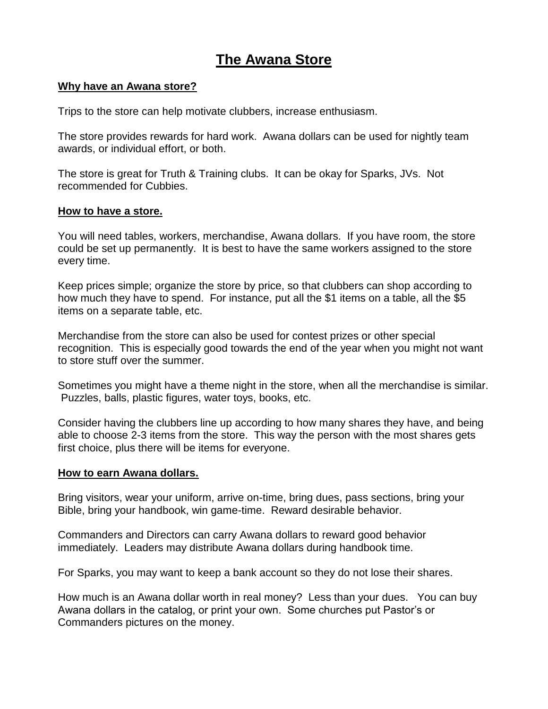# **The Awana Store**

### **Why have an Awana store?**

Trips to the store can help motivate clubbers, increase enthusiasm.

The store provides rewards for hard work. Awana dollars can be used for nightly team awards, or individual effort, or both.

The store is great for Truth & Training clubs. It can be okay for Sparks, JVs. Not recommended for Cubbies.

#### **How to have a store.**

You will need tables, workers, merchandise, Awana dollars. If you have room, the store could be set up permanently. It is best to have the same workers assigned to the store every time.

Keep prices simple; organize the store by price, so that clubbers can shop according to how much they have to spend. For instance, put all the \$1 items on a table, all the \$5 items on a separate table, etc.

Merchandise from the store can also be used for contest prizes or other special recognition. This is especially good towards the end of the year when you might not want to store stuff over the summer.

Sometimes you might have a theme night in the store, when all the merchandise is similar. Puzzles, balls, plastic figures, water toys, books, etc.

Consider having the clubbers line up according to how many shares they have, and being able to choose 2-3 items from the store. This way the person with the most shares gets first choice, plus there will be items for everyone.

#### **How to earn Awana dollars.**

Bring visitors, wear your uniform, arrive on-time, bring dues, pass sections, bring your Bible, bring your handbook, win game-time. Reward desirable behavior.

Commanders and Directors can carry Awana dollars to reward good behavior immediately. Leaders may distribute Awana dollars during handbook time.

For Sparks, you may want to keep a bank account so they do not lose their shares.

How much is an Awana dollar worth in real money? Less than your dues. You can buy Awana dollars in the catalog, or print your own. Some churches put Pastor's or Commanders pictures on the money.